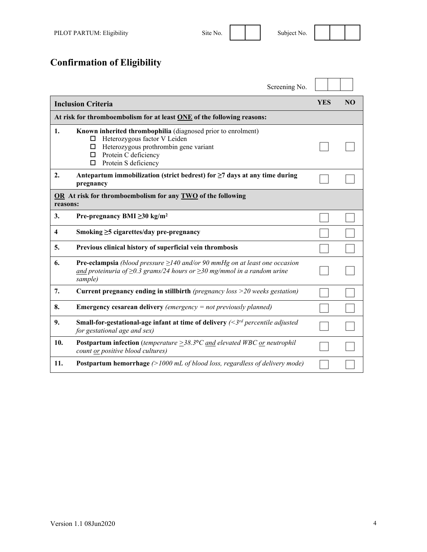**Confirmation of Eligibility** 

|                                                                        | Screening No.                                                                                                                                                                                             |            |                |
|------------------------------------------------------------------------|-----------------------------------------------------------------------------------------------------------------------------------------------------------------------------------------------------------|------------|----------------|
| <b>Inclusion Criteria</b>                                              |                                                                                                                                                                                                           | <b>YES</b> | N <sub>O</sub> |
| At risk for thromboembolism for at least ONE of the following reasons: |                                                                                                                                                                                                           |            |                |
| 1.                                                                     | Known inherited thrombophilia (diagnosed prior to enrolment)<br>Heterozygous factor V Leiden<br>□<br>Heterozygous prothrombin gene variant<br>□<br>Protein C deficiency<br>□<br>Protein S deficiency<br>□ |            |                |
| 2.                                                                     | Antepartum immobilization (strict bedrest) for $\geq$ 7 days at any time during<br>pregnancy                                                                                                              |            |                |
| reasons:                                                               | OR At risk for thromboembolism for any TWO of the following                                                                                                                                               |            |                |
| 3.                                                                     | Pre-pregnancy BMI $\geq 30$ kg/m <sup>2</sup>                                                                                                                                                             |            |                |
| 4                                                                      | Smoking $\geq$ 5 cigarettes/day pre-pregnancy                                                                                                                                                             |            |                |
| 5.                                                                     | Previous clinical history of superficial vein thrombosis                                                                                                                                                  |            |                |
| 6.                                                                     | <b>Pre-eclampsia</b> (blood pressure $\geq$ 140 and/or 90 mmHg on at least one occasion<br>and proteinuria of $\geq$ 0.3 grams/24 hours or $\geq$ 30 mg/mmol in a random urine<br>sample)                 |            |                |
| 7.                                                                     | Current pregnancy ending in stillbirth (pregnancy loss $>$ 20 weeks gestation)                                                                                                                            |            |                |
| 8.                                                                     | <b>Emergency cesarean delivery</b> (emergency $=$ not previously planned)                                                                                                                                 |            |                |
| 9.                                                                     | <b>Small-for-gestational-age infant at time of delivery</b> $\left(\frac{3rd} {\text{percentile adjusted}}\right)$<br>for gestational age and sex)                                                        |            |                |
| 10.                                                                    | <b>Postpartum infection</b> (temperature $\geq$ 38.3°C and elevated WBC <u>or</u> neutrophil<br>count or positive blood cultures)                                                                         |            |                |
| 11.                                                                    | <b>Postpartum hemorrhage</b> $(>1000 \text{ mL of blood loss}, regardless of delivery mode)$                                                                                                              |            |                |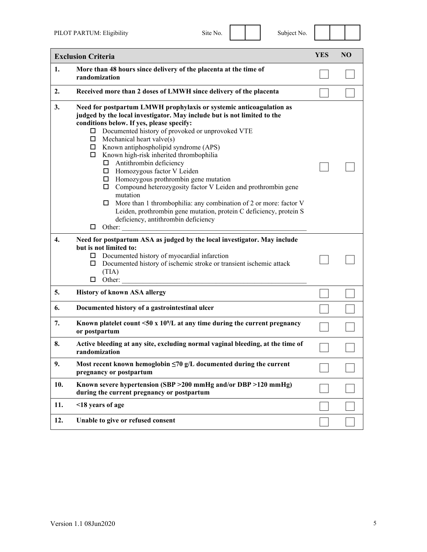| ∩<br>۵ |
|--------|
|--------|

|     | <b>Exclusion Criteria</b>                                                                                                                                                                                                                                                                                                                                                                                                                                                                                                                                                                                                                                                                                                                                                                                | <b>YES</b> | <b>NO</b> |
|-----|----------------------------------------------------------------------------------------------------------------------------------------------------------------------------------------------------------------------------------------------------------------------------------------------------------------------------------------------------------------------------------------------------------------------------------------------------------------------------------------------------------------------------------------------------------------------------------------------------------------------------------------------------------------------------------------------------------------------------------------------------------------------------------------------------------|------------|-----------|
| 1.  | More than 48 hours since delivery of the placenta at the time of<br>randomization                                                                                                                                                                                                                                                                                                                                                                                                                                                                                                                                                                                                                                                                                                                        |            |           |
| 2.  | Received more than 2 doses of LMWH since delivery of the placenta                                                                                                                                                                                                                                                                                                                                                                                                                                                                                                                                                                                                                                                                                                                                        |            |           |
| 3.  | Need for postpartum LMWH prophylaxis or systemic anticoagulation as<br>judged by the local investigator. May include but is not limited to the<br>conditions below. If yes, please specify:<br>□ Documented history of provoked or unprovoked VTE<br>$\Box$ Mechanical heart valve(s)<br>$\Box$ Known antiphospholipid syndrome (APS)<br>$\Box$ Known high-risk inherited thrombophilia<br>$\Box$ Antithrombin deficiency<br>□ Homozygous factor V Leiden<br>$\Box$ Homozygous prothrombin gene mutation<br>$\Box$ Compound heterozygosity factor V Leiden and prothrombin gene<br>mutation<br>$\Box$ More than 1 thrombophilia: any combination of 2 or more: factor V<br>Leiden, prothrombin gene mutation, protein C deficiency, protein S<br>deficiency, antithrombin deficiency<br>Other:<br>$\Box$ |            |           |
| 4.  | Need for postpartum ASA as judged by the local investigator. May include<br>but is not limited to:<br>Documented history of myocardial infarction<br>ц<br>Documented history of ischemic stroke or transient ischemic attack<br>□<br>(TIA)<br>Other:                                                                                                                                                                                                                                                                                                                                                                                                                                                                                                                                                     |            |           |
| 5.  | <b>History of known ASA allergy</b>                                                                                                                                                                                                                                                                                                                                                                                                                                                                                                                                                                                                                                                                                                                                                                      |            |           |
| 6.  | Documented history of a gastrointestinal ulcer                                                                                                                                                                                                                                                                                                                                                                                                                                                                                                                                                                                                                                                                                                                                                           |            |           |
| 7.  | Known platelet count $\leq 50$ x 10 <sup>9</sup> /L at any time during the current pregnancy<br>or postpartum                                                                                                                                                                                                                                                                                                                                                                                                                                                                                                                                                                                                                                                                                            |            |           |
| 8.  | Active bleeding at any site, excluding normal vaginal bleeding, at the time of<br>randomization                                                                                                                                                                                                                                                                                                                                                                                                                                                                                                                                                                                                                                                                                                          |            |           |
| 9.  | Most recent known hemoglobin $\leq 70$ g/L documented during the current<br>pregnancy or postpartum                                                                                                                                                                                                                                                                                                                                                                                                                                                                                                                                                                                                                                                                                                      |            |           |
| 10. | Known severe hypertension (SBP > 200 mmHg and/or DBP > 120 mmHg)<br>during the current pregnancy or postpartum                                                                                                                                                                                                                                                                                                                                                                                                                                                                                                                                                                                                                                                                                           |            |           |
| 11. | <18 years of age                                                                                                                                                                                                                                                                                                                                                                                                                                                                                                                                                                                                                                                                                                                                                                                         |            |           |
| 12. | Unable to give or refused consent                                                                                                                                                                                                                                                                                                                                                                                                                                                                                                                                                                                                                                                                                                                                                                        |            |           |